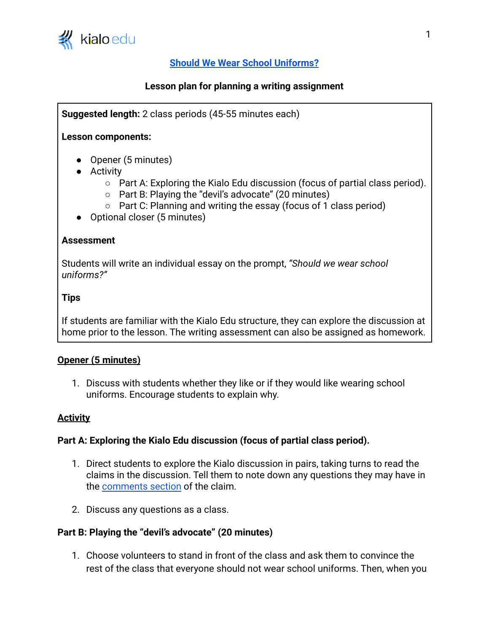

# **[Should We Wear School Uniforms?](https://www.kialo-edu.com/p/ebe0610e-0107-42cf-a1c0-2cb42ac457fb/68109)**

## **Lesson plan for planning a writing assignment**

**Suggested length:** 2 class periods (45-55 minutes each)

#### **Lesson components:**

- Opener (5 minutes)
- Activity
	- $\circ$  Part A: Exploring the Kialo Edu discussion (focus of partial class period).
	- Part B: Playing the "devil's advocate" (20 minutes)
	- Part C: Planning and writing the essay (focus of 1 class period)
- Optional closer (5 minutes)

#### **Assessment**

Students will write an individual essay on the prompt, *"Should we wear school uniforms?"*

#### **Tips**

If students are familiar with the Kialo Edu structure, they can explore the discussion at home prior to the lesson. The writing assessment can also be assigned as homework.

#### **Opener (5 minutes)**

1. Discuss with students whether they like or if they would like wearing school uniforms. Encourage students to explain why.

#### **Activity**

#### **Part A: Exploring the Kialo Edu discussion (focus of partial class period).**

- 1. Direct students to explore the Kialo discussion in pairs, taking turns to read the claims in the discussion. Tell them to note down any questions they may have in the [comments section](https://support.kialo-edu.com/hc/en-us/articles/360034340272-Commenting-on-a-Claim) of the claim.
- 2. Discuss any questions as a class.

#### **Part B: Playing the "devil's advocate" (20 minutes)**

1. Choose volunteers to stand in front of the class and ask them to convince the rest of the class that everyone should not wear school uniforms. Then, when you